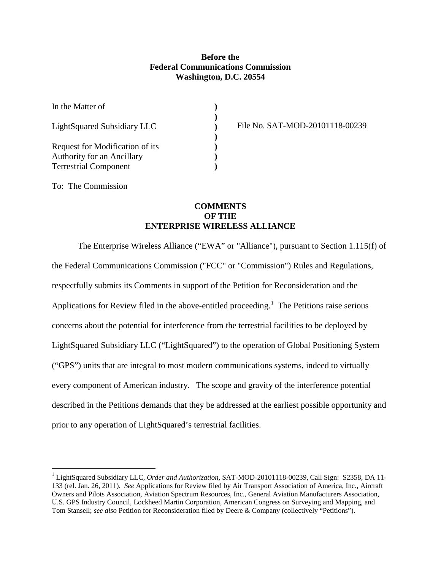## **Before the Federal Communications Commission Washington, D.C. 20554**

**) ) ) ) ) ) )**

| In the Matter of                                                                                     |
|------------------------------------------------------------------------------------------------------|
| LightSquared Subsidiary LLC                                                                          |
| Request for Modification of its<br><b>Authority for an Ancillary</b><br><b>Terrestrial Component</b> |

File No. SAT-MOD-20101118-00239

To: The Commission

## **COMMENTS OF THE ENTERPRISE WIRELESS ALLIANCE**

The Enterprise Wireless Alliance ("EWA" or "Alliance"), pursuant to Section 1.115(f) of the Federal Communications Commission ("FCC" or "Commission") Rules and Regulations, respectfully submits its Comments in support of the Petition for Reconsideration and the Applications for Review filed in the above-entitled proceeding.<sup>[1](#page-0-0)</sup> The Petitions raise serious concerns about the potential for interference from the terrestrial facilities to be deployed by LightSquared Subsidiary LLC ("LightSquared") to the operation of Global Positioning System ("GPS") units that are integral to most modern communications systems, indeed to virtually every component of American industry. The scope and gravity of the interference potential described in the Petitions demands that they be addressed at the earliest possible opportunity and prior to any operation of LightSquared's terrestrial facilities.

<span id="page-0-0"></span> <sup>1</sup> LightSquared Subsidiary LLC, *Order and Authorization,* SAT-MOD-20101118-00239, Call Sign: S2358, DA 11- 133 (rel. Jan. 26, 2011). *See* Applications for Review filed by Air Transport Association of America, Inc., Aircraft Owners and Pilots Association, Aviation Spectrum Resources, Inc., General Aviation Manufacturers Association, U.S. GPS Industry Council, Lockheed Martin Corporation, American Congress on Surveying and Mapping, and Tom Stansell; *see also* Petition for Reconsideration filed by Deere & Company (collectively "Petitions").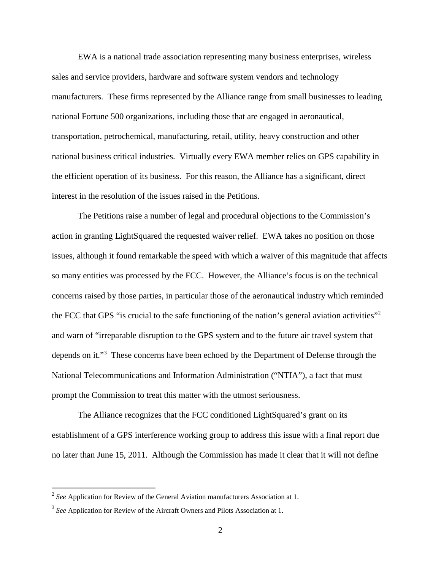EWA is a national trade association representing many business enterprises, wireless sales and service providers, hardware and software system vendors and technology manufacturers. These firms represented by the Alliance range from small businesses to leading national Fortune 500 organizations, including those that are engaged in aeronautical, transportation, petrochemical, manufacturing, retail, utility, heavy construction and other national business critical industries. Virtually every EWA member relies on GPS capability in the efficient operation of its business. For this reason, the Alliance has a significant, direct interest in the resolution of the issues raised in the Petitions.

The Petitions raise a number of legal and procedural objections to the Commission's action in granting LightSquared the requested waiver relief. EWA takes no position on those issues, although it found remarkable the speed with which a waiver of this magnitude that affects so many entities was processed by the FCC. However, the Alliance's focus is on the technical concerns raised by those parties, in particular those of the aeronautical industry which reminded the FCC that GPS "is crucial to the safe functioning of the nation's general aviation activities"[2](#page-1-0) and warn of "irreparable disruption to the GPS system and to the future air travel system that depends on it."<sup>[3](#page-1-1)</sup> These concerns have been echoed by the Department of Defense through the National Telecommunications and Information Administration ("NTIA"), a fact that must prompt the Commission to treat this matter with the utmost seriousness.

The Alliance recognizes that the FCC conditioned LightSquared's grant on its establishment of a GPS interference working group to address this issue with a final report due no later than June 15, 2011. Although the Commission has made it clear that it will not define

<span id="page-1-0"></span> <sup>2</sup> *See* Application for Review of the General Aviation manufacturers Association at 1.

<span id="page-1-1"></span><sup>&</sup>lt;sup>3</sup> See Application for Review of the Aircraft Owners and Pilots Association at 1.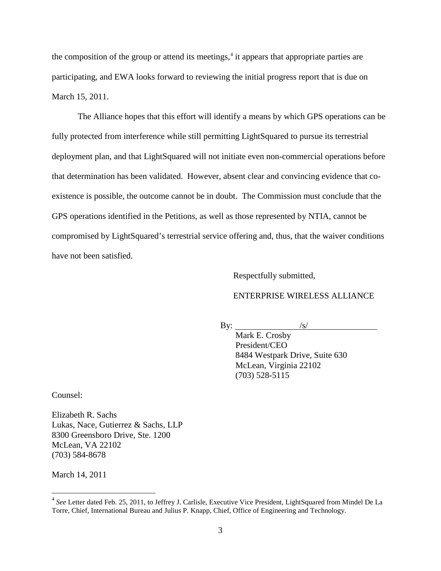the composition of the group or attend its meetings,<sup>[4](#page-2-0)</sup> it appears that appropriate parties are participating, and EWA looks forward to reviewing the initial progress report that is due on March 15, 2011.

The Alliance hopes that this effort will identify a means by which GPS operations can be fully protected from interference while still permitting LightSquared to pursue its terrestrial deployment plan, and that LightSquared will not initiate even non-commercial operations before that determination has been validated. However, absent clear and convincing evidence that coexistence is possible, the outcome cannot be in doubt. The Commission must conclude that the GPS operations identified in the Petitions, as well as those represented by NTIA, cannot be compromised by LightSquared's terrestrial service offering and, thus, that the waiver conditions have not been satisfied.

Respectfully submitted,

## ENTERPRISE WIRELESS ALLIANCE

By:

Mark E. Crosby  $\sqrt{s/}$ President/CEO 8484 Westpark Drive, Suite 630 McLean, Virginia 22102 (703) 528-5115

Counsel:

Elizabeth R. Sachs Lukas, Nace, Gutierrez & Sachs, LLP 8300 Greensboro Drive, Ste. 1200 McLean, VA 22102 (703) 584-8678

March 14, 2011

<span id="page-2-0"></span> <sup>4</sup> *See* Letter dated Feb. 25, 2011, to Jeffrey J. Carlisle, Executive Vice President, LightSquared from Mindel De La Torre, Chief, International Bureau and Julius P. Knapp, Chief, Office of Engineering and Technology.